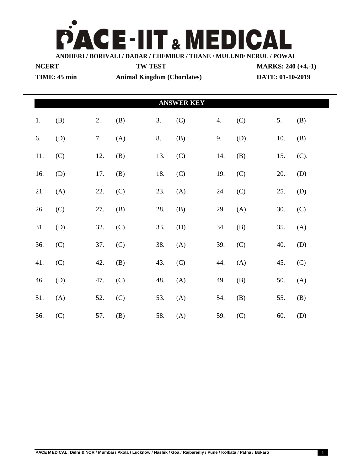

| <b>NCERT</b>      |     |     | <b>TW TEST</b>                    |     |     |     |     |                  | <b>MARKS: 240 (+4,-1)</b> |  |  |
|-------------------|-----|-----|-----------------------------------|-----|-----|-----|-----|------------------|---------------------------|--|--|
| TIME: 45 min      |     |     | <b>Animal Kingdom (Chordates)</b> |     |     |     |     | DATE: 01-10-2019 |                           |  |  |
|                   |     |     |                                   |     |     |     |     |                  |                           |  |  |
| <b>ANSWER KEY</b> |     |     |                                   |     |     |     |     |                  |                           |  |  |
| 1.                | (B) | 2.  | (B)                               | 3.  | (C) | 4.  | (C) | 5.               | (B)                       |  |  |
| 6.                | (D) | 7.  | (A)                               | 8.  | (B) | 9.  | (D) | 10.              | (B)                       |  |  |
| 11.               | (C) | 12. | (B)                               | 13. | (C) | 14. | (B) | 15.              | (C).                      |  |  |
| 16.               | (D) | 17. | (B)                               | 18. | (C) | 19. | (C) | 20.              | (D)                       |  |  |
| 21.               | (A) | 22. | (C)                               | 23. | (A) | 24. | (C) | 25.              | (D)                       |  |  |
| 26.               | (C) | 27. | (B)                               | 28. | (B) | 29. | (A) | 30.              | (C)                       |  |  |
| 31.               | (D) | 32. | (C)                               | 33. | (D) | 34. | (B) | 35.              | (A)                       |  |  |
| 36.               | (C) | 37. | (C)                               | 38. | (A) | 39. | (C) | 40.              | (D)                       |  |  |
| 41.               | (C) | 42. | (B)                               | 43. | (C) | 44. | (A) | 45.              | (C)                       |  |  |
| 46.               | (D) | 47. | (C)                               | 48. | (A) | 49. | (B) | 50.              | (A)                       |  |  |
| 51.               | (A) | 52. | (C)                               | 53. | (A) | 54. | (B) | 55.              | (B)                       |  |  |
| 56.               | (C) | 57. | (B)                               | 58. | (A) | 59. | (C) | 60.              | (D)                       |  |  |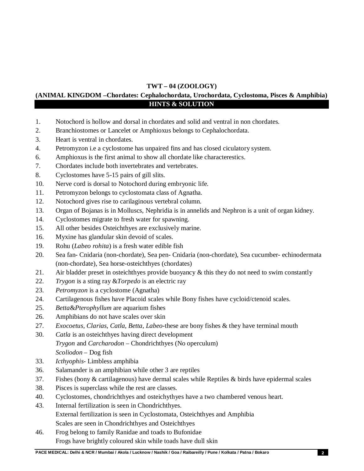## **TWT – 04 (ZOOLOGY)**

## **(ANIMAL KINGDOM –Chordates: Cephalochordata, Urochordata, Cyclostoma, Pisces & Amphibia) HINTS & SOLUTION**

- 1. Notochord is hollow and dorsal in chordates and solid and ventral in non chordates.
- 2. Branchiostomes or Lancelet or Amphioxus belongs to Cephalochordata.
- 3. Heart is ventral in chordates.
- 4. Petromyzon i.e a cyclostome has unpaired fins and has closed ciculatory system.
- 6. Amphioxus is the first animal to show all chordate like characterestics.
- 7. Chordates include both invertebrates and vertebrates.
- 8. Cyclostomes have 5-15 pairs of gill slits.
- 10. Nerve cord is dorsal to Notochord during embryonic life.
- 11. Petromyzon belongs to cyclostomata class of Agnatha.
- 12. Notochord gives rise to carilaginous vertebral column.
- 13. Organ of Bojanas is in Molluscs, Nephridia is in annelids and Nephron is a unit of organ kidney.
- 14. Cyclostomes migrate to fresh water for spawning.
- 15. All other besides Osteichthyes are exclusively marine.
- 16. Myxine has glandular skin devoid of scales.
- 19. Rohu (*Labeo rohita*) is a fresh water edible fish
- 20. Sea fan- Cnidaria (non-chordate), Sea pen- Cnidaria (non-chordate), Sea cucumber- echinodermata (non-chordate), Sea horse-osteichthyes (chordates)
- 21. Air bladder preset in osteichthyes provide buoyancy & this they do not need to swim constantly
- 22. *Trygon* is a sting ray &*Torpedo* is an electric ray
- 23. *Petromyzon* is a cyclostome (Agnatha)
- 24. Cartilagenous fishes have Placoid scales while Bony fishes have cycloid/ctenoid scales.
- 25. *Betta*&*Pterophyllum* are aquarium fishes
- 26. Amphibians do not have scales over skin
- 27. *Exocoetus, Clarias, Catla, Betta, Labeo*-these are bony fishes & they have terminal mouth
- 30. *Catla* is an osteichthyes having direct development *Trygon* and *Carcharodon* – Chondrichthyes (No operculum) *Scoliodon* – Dog fish
- 33. *Icthyophis* Limbless amphibia
- 36. Salamander is an amphibian while other 3 are reptiles
- 37. Fishes (bony & cartilagenous) have dermal scales while Reptiles & birds have epidermal scales
- 38. Pisces is superclass while the rest are classes.
- 40. Cyclostomes, chondrichthyes and osteichythyes have a two chambered venous heart.
- 43. Internal fertilization is seen in Chondrichthyes. External fertilization is seen in Cyclostomata, Osteichthyes and Amphibia Scales are seen in Chondrichthyes and Osteichthyes
- 46. Frog belong to family Ranidae and toads to Bufonidae Frogs have brightly coloured skin while toads have dull skin